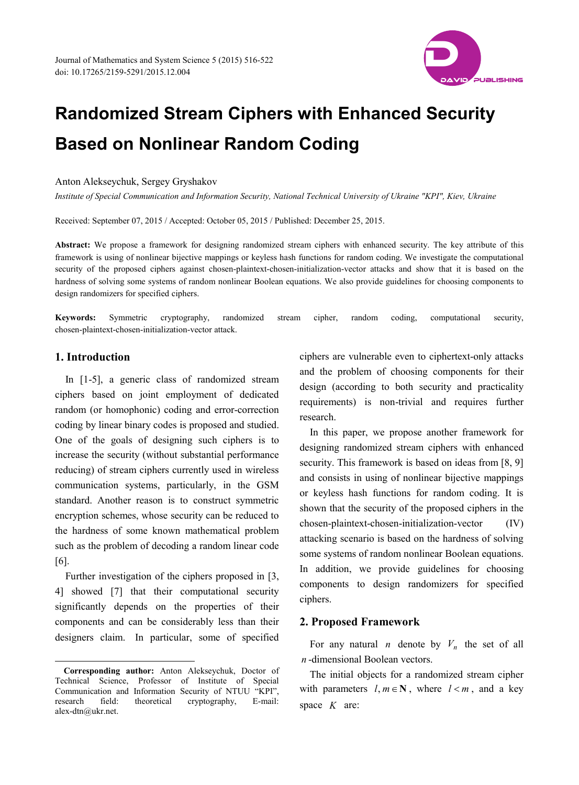

# **Randomized Stream Ciphers with Enhanced Security Based on Nonlinear Random Coding**

Anton Alekseychuk, Sergey Gryshakov

*Institute of Special Communication and Information Security, National Technical University of Ukraine "KPI", Kiev, Ukraine*

Received: September 07, 2015 / Accepted: October 05, 2015 / Published: December 25, 2015.

**Abstract:** We propose a framework for designing randomized stream ciphers with enhanced security. The key attribute of this framework is using of nonlinear bijective mappings or keyless hash functions for random coding. We investigate the computational security of the proposed ciphers against chosen-plaintext-chosen-initialization-vector attacks and show that it is based on the hardness of solving some systems of random nonlinear Boolean equations. We also provide guidelines for choosing components to design randomizers for specified ciphers.

**Keywords:** Symmetric cryptography, randomized stream cipher, random coding, computational security, chosen-plaintext-chosen-initialization-vector attack.

# **1. Introduction**

In [1-5], a generic class of randomized stream ciphers based on joint employment of dedicated random (or homophonic) coding and error-correction coding by linear binary codes is proposed and studied. One of the goals of designing such ciphers is to increase the security (without substantial performance reducing) of stream ciphers currently used in wireless communication systems, particularly, in the GSM standard. Another reason is to construct symmetric encryption schemes, whose security can be reduced to the hardness of some known mathematical problem such as the problem of decoding a random linear code [6].

Further investigation of the ciphers proposed in [3, 4] showed [7] that their computational security significantly depends on the properties of their components and can be considerably less than their designers claim. In particular, some of specified ciphers are vulnerable even to ciphertext-only attacks and the problem of choosing components for their design (according to both security and practicality requirements) is non-trivial and requires further research.

In this paper, we propose another framework for designing randomized stream ciphers with enhanced security. This framework is based on ideas from [8, 9] and consists in using of nonlinear bijective mappings or keyless hash functions for random coding. It is shown that the security of the proposed ciphers in the chosen-plaintext-chosen-initialization-vector (IV) attacking scenario is based on the hardness of solving some systems of random nonlinear Boolean equations. In addition, we provide guidelines for choosing components to design randomizers for specified ciphers.

# **2. Proposed Framework**

For any natural *n* denote by  $V_n$  the set of all *n* -dimensional Boolean vectors.

The initial objects for a randomized stream cipher with parameters  $l, m \in \mathbb{N}$ , where  $l < m$ , and a key space *K* are:

**Corresponding author:** Anton Alekseychuk, Doctor of Technical Science, Professor of Institute of Special Communication and Information Security of NTUU "KPI", research field: theoretical cryptography, E-mail: alex-dtn@ukr.net. -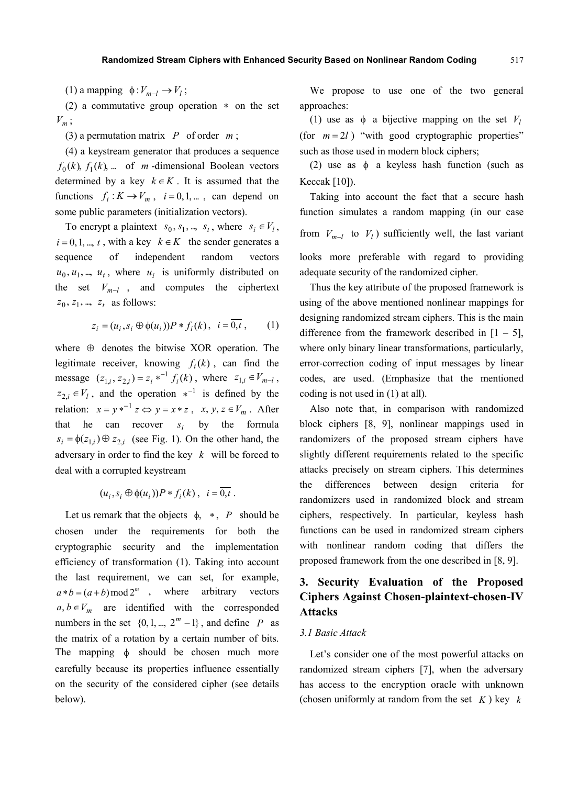(1) a mapping  $\phi: V_{m-l} \to V_l$ ;

(2) a commutative group operation ∗ on the set *Vm* ;

(3) a permutation matrix *P* of order *m* ;

(4) a keystream generator that produces a sequence  $f_0(k)$ ,  $f_1(k)$ , ... of *m* -dimensional Boolean vectors determined by a key  $k \in K$ . It is assumed that the functions  $f_i: K \to V_m$ ,  $i = 0, 1, ...$ , can depend on some public parameters (initialization vectors).

To encrypt a plaintext  $s_0, s_1, ..., s_t$ , where  $s_i \in V_i$ ,  $i = 0, 1, ..., t$ , with a key  $k \in K$  the sender generates a sequence of independent random vectors  $u_0, u_1, \ldots, u_t$ , where  $u_i$  is uniformly distributed on the set  $V_{m-l}$ , and computes the ciphertext  $z_0$ ,  $z_1$ , ...,  $z_t$  as follows:

$$
z_i = (u_i, s_i \oplus \phi(u_i))P * f_i(k), \quad i = 0, t \,, \tag{1}
$$

where  $\oplus$  denotes the bitwise XOR operation. The legitimate receiver, knowing  $f_i(k)$ , can find the message  $(z_{1,i}, z_{2,i}) = z_i *^{-1} f_i(k)$ , where  $z_{1,i} \in V_{m-l}$ ,  $z_{2,i} \in V_i$ , and the operation  $*^{-1}$  is defined by the relation:  $x = y^{*^{-1}} z \Leftrightarrow y = x * z$ ,  $x, y, z \in V_m$ . After that he can recover  $s_i$  by the formula  $s_i = \phi(z_{1,i}) \oplus z_{2,i}$  (see Fig. 1). On the other hand, the adversary in order to find the key *k* will be forced to deal with a corrupted keystream

 $(u_i, s_i \oplus \phi(u_i))P * f_i(k), \ \ i = \overline{0,t}.$ 

Let us remark that the objects  $\phi$ , \*, *P* should be chosen under the requirements for both the cryptographic security and the implementation efficiency of transformation (1). Taking into account the last requirement, we can set, for example,  $a * b = (a + b) \mod 2^m$ , where arbitrary vectors  $a, b \in V_m$  are identified with the corresponded numbers in the set  $\{0, 1, ..., 2^m - 1\}$ , and define *P* as the matrix of a rotation by a certain number of bits. The mapping  $\phi$  should be chosen much more carefully because its properties influence essentially on the security of the considered cipher (see details below).

We propose to use one of the two general approaches:

(1) use as  $\phi$  a bijective mapping on the set  $V_l$ (for  $m = 2l$ ) "with good cryptographic properties" such as those used in modern block ciphers;

(2) use as  $\phi$  a keyless hash function (such as Keccak  $[10]$ ).

Taking into account the fact that a secure hash function simulates a random mapping (in our case from  $V_{m-1}$  to  $V_l$ ) sufficiently well, the last variant looks more preferable with regard to providing adequate security of the randomized cipher.

Thus the key attribute of the proposed framework is using of the above mentioned nonlinear mappings for designing randomized stream ciphers. This is the main difference from the framework described in  $[1 - 5]$ , where only binary linear transformations, particularly, error-correction coding of input messages by linear codes, are used. (Emphasize that the mentioned coding is not used in (1) at all).

Also note that, in comparison with randomized block ciphers [8, 9], nonlinear mappings used in randomizers of the proposed stream ciphers have slightly different requirements related to the specific attacks precisely on stream ciphers. This determines the differences between design criteria for randomizers used in randomized block and stream ciphers, respectively. In particular, keyless hash functions can be used in randomized stream ciphers with nonlinear random coding that differs the proposed framework from the one described in [8, 9].

# **3. Security Evaluation of the Proposed Ciphers Against Chosen-plaintext-chosen-IV Attacks**

#### *3.1 Basic Attack*

Let's consider one of the most powerful attacks on randomized stream ciphers [7], when the adversary has access to the encryption oracle with unknown (chosen uniformly at random from the set *K* ) key *k*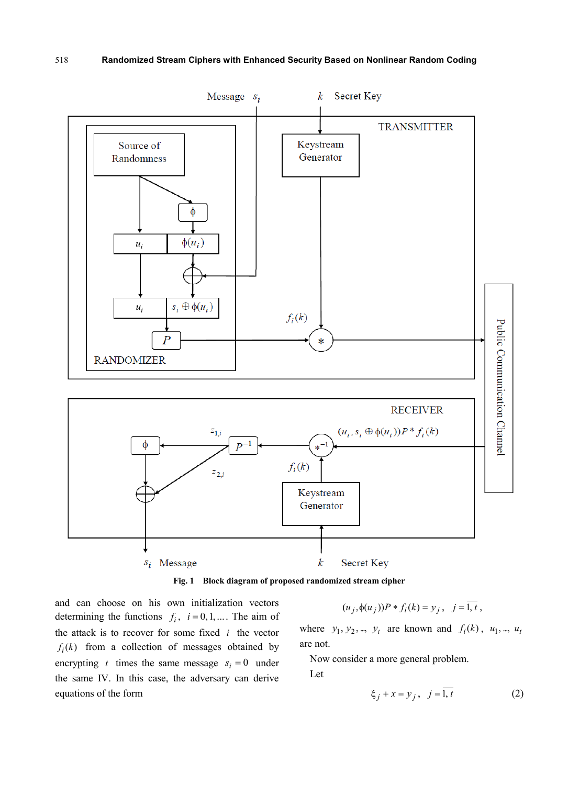

**Fig. 1 Block diagram of proposed randomized stream cipher**

and can choose on his own initialization vectors determining the functions  $f_i$ ,  $i = 0, 1, ...$  The aim of the attack is to recover for some fixed *i* the vector  $f_i(k)$  from a collection of messages obtained by encrypting *t* times the same message  $s_i = 0$  under the same IV. In this case, the adversary can derive equations of the form

$$
(u_j, \phi(u_j))P * f_i(k) = y_j, \quad j = \overline{1, t},
$$

where  $y_1, y_2, ..., y_t$  are known and  $f_i(k)$ ,  $u_1, ..., u_t$ are not.

Now consider a more general problem.

Let

$$
\xi_j + x = y_j, \quad j = \overline{1, t} \tag{2}
$$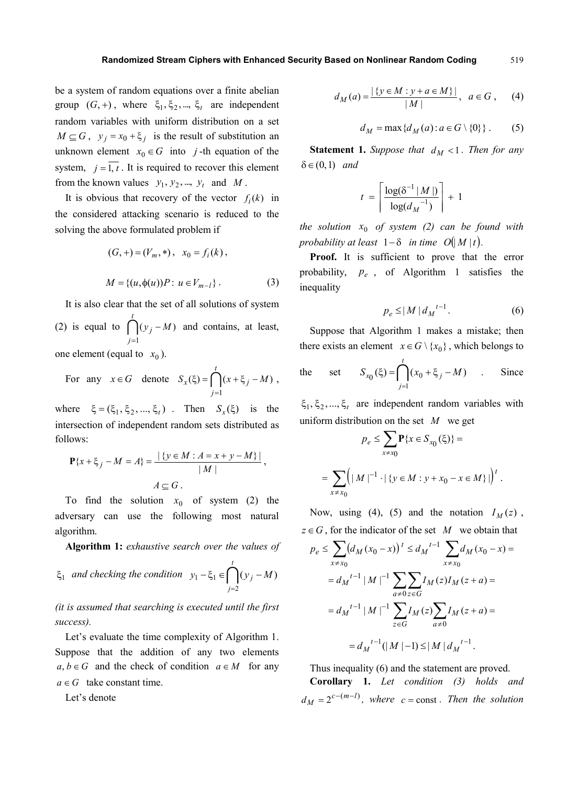be a system of random equations over a finite abelian group  $(G, +)$ , where  $\xi_1, \xi_2, ..., \xi_t$  are independent random variables with uniform distribution on a set  $M \subseteq G$ ,  $y_i = x_0 + \xi_i$  is the result of substitution an unknown element  $x_0 \in G$  into *j*-th equation of the system,  $j = \overline{1, t}$ . It is required to recover this element from the known values  $y_1, y_2, ..., y_t$  and *M*.

It is obvious that recovery of the vector  $f_i(k)$  in the considered attacking scenario is reduced to the solving the above formulated problem if

$$
(G, +) = (V_m, *) , x_0 = f_i(k) ,
$$
  

$$
M = \{(u, \phi(u))P : u \in V_{m-l}\} .
$$
 (3)

It is also clear that the set of all solutions of system (2) is equal to  $\bigcap$ *t j*  $y_j - M$ 1  $(y_i - M)$ =  $-M$ ) and contains, at least, one element (equal to  $x_0$ ).

For any 
$$
x \in G
$$
 denote  $S_x(\xi) = \bigcap_{j=1}^t (x + \xi_j - M)$ ,

where  $\xi = (\xi_1, \xi_2, ..., \xi_t)$ . Then  $S_x(\xi)$  is the intersection of independent random sets distributed as follows:

$$
\mathbf{P}\{x + \xi_j - M = A\} = \frac{|\{y \in M : A = x + y - M\}|}{|M|},
$$
  

$$
A \subseteq G.
$$

To find the solution  $x_0$  of system (2) the adversary can use the following most natural algorithm.

**Algorithm 1:** *exhaustive search over the values of* 

$$
\xi_1
$$
 and checking the condition  $y_1 - \xi_1 \in \bigcap_{j=2}^t (y_j - M)$ 

*(it is assumed that searching is executed until the first success).* 

Let's evaluate the time complexity of Algorithm 1. Suppose that the addition of any two elements  $a, b \in G$  and the check of condition  $a \in M$  for any  $a \in G$  take constant time.

Let's denote

$$
d_M(a) = \frac{|\{y \in M : y + a \in M\}|}{|M|}, \ a \in G, \quad (4)
$$

$$
d_M = \max\{d_M(a) : a \in G \setminus \{0\}\}.
$$
 (5)

**Statement 1.** *Suppose that*  $d<sub>M</sub> < 1$ *. Then for any* δ∈(0,1) *and*

$$
t = \left\lceil \frac{\log(\delta^{-1} | M |)}{\log(d_M^{-1})} \right\rceil + 1
$$

*the solution*  $x_0$  *of system (2) can be found with probability at least*  $1-\delta$  *in time O*(| *M* | *t*).

Proof. It is sufficient to prove that the error probability,  $p_e$ , of Algorithm 1 satisfies the inequality

$$
p_e \le |M| d_M^{t-1}.
$$
 (6)

Suppose that Algorithm 1 makes a mistake; then there exists an element  $x \in G \setminus \{x_0\}$ , which belongs to

the set 
$$
S_{x_0}(\xi) = \bigcap_{j=1}^t (x_0 + \xi_j - M)
$$
. Since

 $\xi_1, \xi_2, ..., \xi_t$  are independent random variables with uniform distribution on the set *M* we get

$$
p_e \le \sum_{x \ne x_0} \mathbf{P}\{x \in S_{x_0}(\xi)\} =
$$
  
= 
$$
\sum_{x \ne x_0} \Bigl( |M|^{-1} \cdot |\{y \in M : y + x_0 - x \in M\}| \Bigr)^t.
$$

Now, using (4), (5) and the notation  $I_M(z)$ ,  $z \in G$ , for the indicator of the set *M* we obtain that

$$
p_e \le \sum_{x \ne x_0} (d_M (x_0 - x))^{t} \le d_M^{t-1} \sum_{x \ne x_0} d_M (x_0 - x) =
$$
  
=  $d_M^{t-1} |M|^{-1} \sum_{a \ne 0} \sum_{z \in G} I_M(z) I_M(z + a) =$   
=  $d_M^{t-1} |M|^{-1} \sum_{z \in G} I_M(z) \sum_{a \ne 0} I_M(z + a) =$   
=  $d_M^{t-1} (|M| - 1) \le |M| d_M^{t-1}$ .

Thus inequality (6) and the statement are proved. **Corollary 1.** *Let condition (3) holds and*  $d_M = 2^{c - (m - l)}$ , where  $c =$  const. Then the solution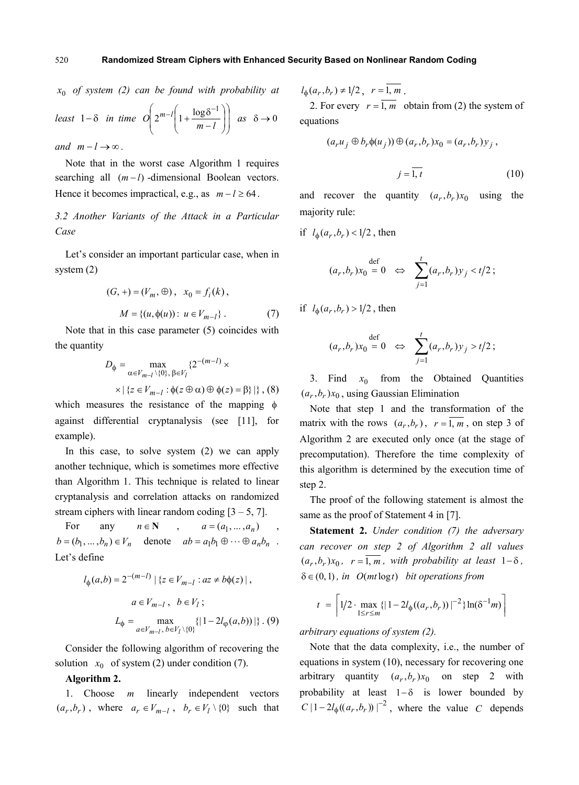$x_0$  *of system (2) can be found with probability at* 

$$
least \ 1-\delta \quad in \ time \quad O\left(2^{m-l}\left(1+\frac{\log \delta^{-1}}{m-l}\right)\right) \quad as \quad \delta \to 0
$$

*and*  $m-l \rightarrow \infty$ .

Note that in the worst case Algorithm 1 requires searching all  $(m−l)$ -dimensional Boolean vectors. Hence it becomes impractical, e.g., as  $m - l \ge 64$ .

*3.2 Another Variants of the Attack in a Particular Case*

Let's consider an important particular case, when in system (2)

$$
(G, +) = (V_m, \oplus), \quad x_0 = f_i(k),
$$
  

$$
M = \{(u, \phi(u)) : u \in V_{m-l}\}.
$$
 (7)

Note that in this case parameter (5) coincides with the quantity

$$
D_{\phi} = \max_{\alpha \in V_{m-l} \setminus \{0\}, \ \beta \in V_l} \{2^{-(m-l)} \times \times |\{z \in V_{m-l} : \phi(z \oplus \alpha) \oplus \phi(z) = \beta\}| \}, (8)
$$

which measures the resistance of the mapping  $\phi$ against differential cryptanalysis (see [11], for example).

In this case, to solve system (2) we can apply another technique, which is sometimes more effective than Algorithm 1. This technique is related to linear cryptanalysis and correlation attacks on randomized stream ciphers with linear random coding  $[3 - 5, 7]$ .

For any  $n \in \mathbb{N}$ ,  $a = (a_1, ..., a_n)$ ,  $b = (b_1, ..., b_n) \in V_n$  denote  $ab = a_1b_1 \oplus ... \oplus a_nb_n$ . Let's define

$$
l_{\phi}(a,b) = 2^{-(m-l)} | \{ z \in V_{m-l} : az \neq b\phi(z) | ,
$$
  

$$
a \in V_{m-l}, b \in V_l ;
$$
  

$$
L_{\phi} = \max_{a \in V_{m-l}, b \in V_l \setminus \{0\}} \{ |1 - 2l_{\phi}(a,b)) | \} . (9)
$$

Consider the following algorithm of recovering the solution  $x_0$  of system (2) under condition (7).

### **Algorithm 2.**

1. Choose *m* linearly independent vectors  $(a_r, b_r)$ , where  $a_r \in V_{m-l}$ ,  $b_r \in V_l \setminus \{0\}$  such that  $l_{\phi}(a_r, b_r) \neq 1/2$ ,  $r = \overline{1, m}$ .

2. For every  $r = \overline{1, m}$  obtain from (2) the system of equations

$$
(a_r u_j \oplus b_r \phi(u_j)) \oplus (a_r, b_r) x_0 = (a_r, b_r) y_j,
$$

$$
j=1, t \tag{10}
$$

and recover the quantity  $(a_r, b_r)x_0$  using the majority rule:

if  $l_{\phi}(a_r, b_r) < 1/2$ , then

$$
(a_r, b_r)x_0 = 0 \Leftrightarrow \sum_{j=1}^t (a_r, b_r)y_j < t/2;
$$

if  $l_{\phi}(a_r, b_r) > 1/2$ , then

$$
(a_r, b_r)x_0 = 0 \Leftrightarrow \sum_{j=1}^t (a_r, b_r)y_j > t/2;
$$

3. Find  $x_0$  from the Obtained Quantities  $(a_r, b_r)x_0$ , using Gaussian Elimination

Note that step 1 and the transformation of the matrix with the rows  $(a_r, b_r)$ ,  $r = \overline{1, m}$ , on step 3 of Algorithm 2 are executed only once (at the stage of precomputation). Therefore the time complexity of this algorithm is determined by the execution time of step 2.

The proof of the following statement is almost the same as the proof of Statement 4 in [7].

**Statement 2.** *Under condition (7) the adversary can recover on step 2 of Algorithm 2 all values*   $(a_r, b_r)x_0$ ,  $r = \overline{1, m}$ , with probability at least  $1-\delta$ , δ∈(0, 1) *, in O*(*mt* log*t*) *bit operations from*

$$
t = \left\lceil 1/2 \cdot \max_{1 \le r \le m} \{ |1 - 2l_{\phi}((a_r, b_r))|^{-2} \} \ln(\delta^{-1} m) \right\rceil
$$

*arbitrary equations of system (2).*

Note that the data complexity, i.e., the number of equations in system (10), necessary for recovering one arbitrary quantity  $(a_r, b_r)x_0$  on step 2 with probability at least  $1-\delta$  is lower bounded by  $C \left| 1 - 2l_{\phi}((a_r, b_r)) \right|^{-2}$ , where the value *C* depends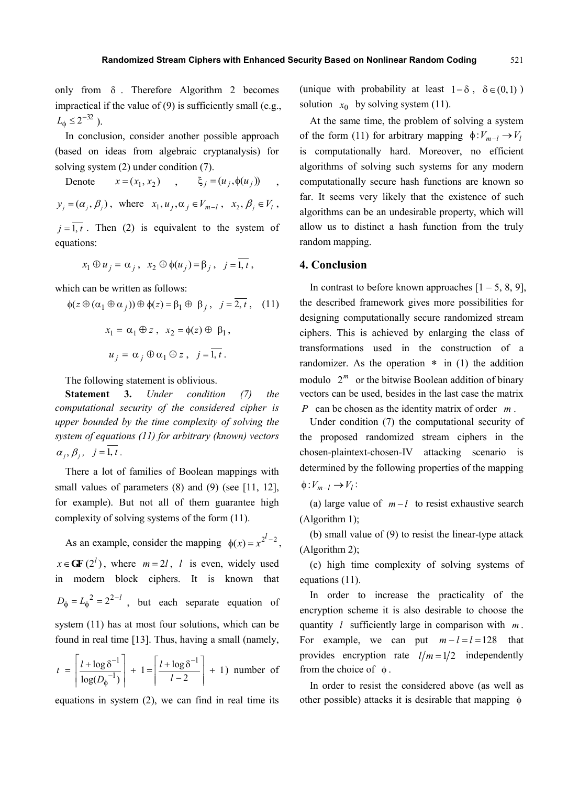only from  $\delta$ . Therefore Algorithm 2 becomes impractical if the value of (9) is sufficiently small (e.g.,  $L_{\phi} \leq 2^{-32}$ ).

In conclusion, consider another possible approach (based on ideas from algebraic cryptanalysis) for solving system (2) under condition (7).

Denote  $x = (x_1, x_2)$ ,  $ξ<sub>i</sub> = (u<sub>i</sub>, φ(u<sub>i</sub>))$  $y_j = (\alpha_j, \beta_j)$ , where  $x_1, u_j, \alpha_j \in V_{m-l}$ ,  $x_2, \beta_j \in V_l$ ,  $j = \overline{1, t}$ . Then (2) is equivalent to the system of

equations:

$$
x_1 \oplus u_j = \alpha_j, \ \ x_2 \oplus \phi(u_j) = \beta_j, \ \ j = 1, t \ ,
$$

which can be written as follows:

$$
\phi(z \oplus (\alpha_1 \oplus \alpha_j)) \oplus \phi(z) = \beta_1 \oplus \beta_j, \quad j = \overline{2, t}, \quad (11)
$$

$$
x_1 = \alpha_1 \oplus z, \quad x_2 = \phi(z) \oplus \beta_1,
$$

$$
u_j = \alpha_j \oplus \alpha_1 \oplus z, \quad j = \overline{1, t}.
$$

The following statement is oblivious.

**Statement 3.** *Under condition (7) the computational security of the considered cipher is upper bounded by the time complexity of solving the system of equations (11) for arbitrary (known) vectors*  $\alpha_i, \beta_i, j = \overline{1, t}$ .

There a lot of families of Boolean mappings with small values of parameters (8) and (9) (see [11, 12], for example). But not all of them guarantee high complexity of solving systems of the form (11).

As an example, consider the mapping  $\phi(x) = x^{2^l - 2}$ ,  $x \in \text{GF}(2^l)$ , where  $m = 2l$ , *l* is even, widely used in modern block ciphers. It is known that  $D_{\phi} = L_{\phi}^{2} = 2^{2-l}$ , but each separate equation of system (11) has at most four solutions, which can be found in real time [13]. Thus, having a small (namely,

$$
t = \left\lceil \frac{l + \log \delta^{-1}}{\log(D_{\phi}^{-1})} \right\rceil + 1 = \left\lceil \frac{l + \log \delta^{-1}}{l - 2} \right\rceil + 1)
$$
 number of

equations in system (2), we can find in real time its

(unique with probability at least  $1-\delta$ ,  $\delta \in (0,1)$ ) solution  $x_0$  by solving system (11).

At the same time, the problem of solving a system of the form (11) for arbitrary mapping  $\phi$  *V<sub>m−l</sub>*  $\rightarrow$  *V<sub>l</sub>* is computationally hard. Moreover, no efficient algorithms of solving such systems for any modern computationally secure hash functions are known so far. It seems very likely that the existence of such algorithms can be an undesirable property, which will allow us to distinct a hash function from the truly random mapping.

# **4. Conclusion**

In contrast to before known approaches  $[1 - 5, 8, 9]$ , the described framework gives more possibilities for designing computationally secure randomized stream ciphers. This is achieved by enlarging the class of transformations used in the construction of a randomizer. As the operation  $*$  in (1) the addition modulo  $2^m$  or the bitwise Boolean addition of binary vectors can be used, besides in the last case the matrix *P* can be chosen as the identity matrix of order *m* .

Under condition (7) the computational security of the proposed randomized stream ciphers in the chosen-plaintext-chosen-IV attacking scenario is determined by the following properties of the mapping  $\phi: V_{m-l} \to V_l$ :

(a) large value of  $m - l$  to resist exhaustive search (Algorithm 1);

(b) small value of (9) to resist the linear-type attack (Algorithm 2);

(c) high time complexity of solving systems of equations (11).

In order to increase the practicality of the encryption scheme it is also desirable to choose the quantity *l* sufficiently large in comparison with *m* . For example, we can put  $m - l = l = 128$  that provides encryption rate  $l/m = 1/2$  independently from the choice of  $\phi$ .

In order to resist the considered above (as well as other possible) attacks it is desirable that mapping  $\phi$